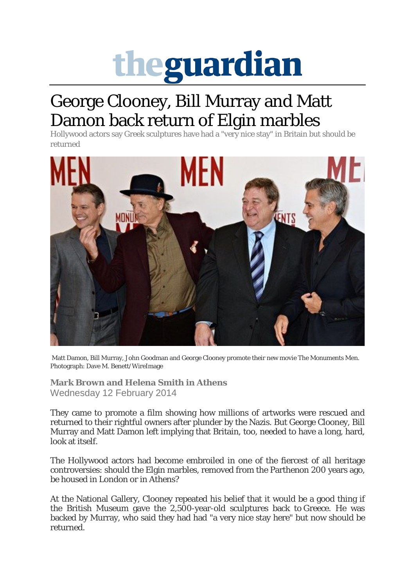## theguardian

## George Clooney, Bill Murray and Matt Damon back return of Elgin marbles

Hollywood actors say Greek sculptures have had a "very nice stay" in Britain but should be returned



Matt Damon, Bill Murray, John Goodman and George Clooney promote their new movie The Monuments Men. Photograph: Dave M. Benett/WireImage

**Mark Brown and Helena Smith in Athens** Wednesday 12 February 2014

They came to promote a film showing how millions of artworks were rescued and returned to their rightful owners after plunder by the Nazis. But George Clooney, Bill Murray and Matt Damon left implying that Britain, too, needed to have a long, hard, look at itself.

The Hollywood actors had become embroiled in one of the fiercest of all heritage controversies: should the Elgin marbles, removed from the Parthenon 200 years ago, be housed in London or in Athens?

At the National Gallery, Clooney repeated his belief that it would be a good thing if the British Museum gave the 2,500-year-old sculptures back to Greece. He was backed by Murray, who said they had had "a very nice stay here" but now should be returned.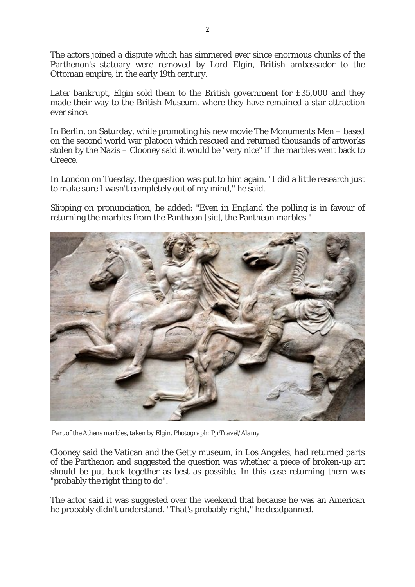The actors joined a dispute which has simmered ever since enormous chunks of the Parthenon's statuary were removed by Lord Elgin, British ambassador to the Ottoman empire, in the early 19th century.

Later bankrupt, Elgin sold them to the British government for £35,000 and they made their way to the British Museum, where they have remained a star attraction ever since.

In Berlin, on Saturday, while promoting his new movie The Monuments Men – based on the second world war platoon which rescued and returned thousands of artworks stolen by the Nazis – Clooney said it would be "very nice" if the marbles went back to Greece.

In London on Tuesday, the question was put to him again. "I did a little research just to make sure I wasn't completely out of my mind," he said.

Slipping on pronunciation, he added: "Even in England the polling is in favour of returning the marbles from the Pantheon [sic], the Pantheon marbles."



*Part of the Athens marbles, taken by Elgin. Photograph: PjrTravel/Alamy*

Clooney said the Vatican and the Getty museum, in Los Angeles, had returned parts of the Parthenon and suggested the question was whether a piece of broken-up art should be put back together as best as possible. In this case returning them was "probably the right thing to do".

The actor said it was suggested over the weekend that because he was an American he probably didn't understand. "That's probably right," he deadpanned.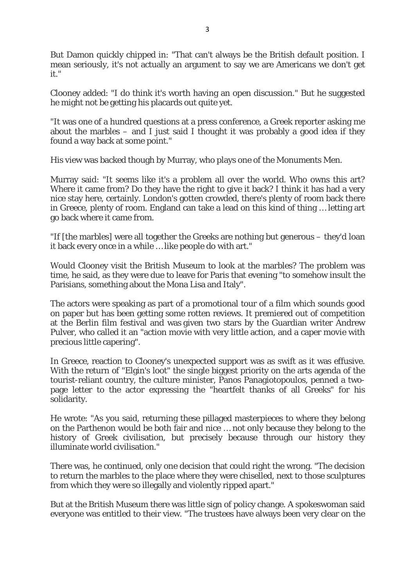But Damon quickly chipped in: "That can't always be the British default position. I mean seriously, it's not actually an argument to say we are Americans we don't get it."

Clooney added: "I do think it's worth having an open discussion." But he suggested he might not be getting his placards out quite yet.

"It was one of a hundred questions at a press conference, a Greek reporter asking me about the marbles – and I just said I thought it was probably a good idea if they found a way back at some point."

His view was backed though by Murray, who plays one of the Monuments Men.

Murray said: "It seems like it's a problem all over the world. Who owns this art? Where it came from? Do they have the right to give it back? I think it has had a very nice stay here, certainly. London's gotten crowded, there's plenty of room back there in Greece, plenty of room. England can take a lead on this kind of thing … letting art go back where it came from.

"If [the marbles] were all together the Greeks are nothing but generous – they'd loan it back every once in a while … like people do with art."

Would Clooney visit the British Museum to look at the marbles? The problem was time, he said, as they were due to leave for Paris that evening "to somehow insult the Parisians, something about the Mona Lisa and Italy".

The actors were speaking as part of a promotional tour of a film which sounds good on paper but has been getting some rotten reviews. It premiered out of competition at the Berlin film festival and was given two stars by the Guardian writer Andrew Pulver, who called it an "action movie with very little action, and a caper movie with precious little capering".

In Greece, reaction to Clooney's unexpected support was as swift as it was effusive. With the return of "Elgin's loot" the single biggest priority on the arts agenda of the tourist-reliant country, the culture minister, Panos Panagiotopoulos, penned a twopage letter to the actor expressing the "heartfelt thanks of all Greeks" for his solidarity.

He wrote: "As you said, returning these pillaged masterpieces to where they belong on the Parthenon would be both fair and nice … not only because they belong to the history of Greek civilisation, but precisely because through our history they illuminate world civilisation."

There was, he continued, only one decision that could right the wrong. "The decision to return the marbles to the place where they were chiselled, next to those sculptures from which they were so illegally and violently ripped apart."

But at the British Museum there was little sign of policy change. A spokeswoman said everyone was entitled to their view. "The trustees have always been very clear on the